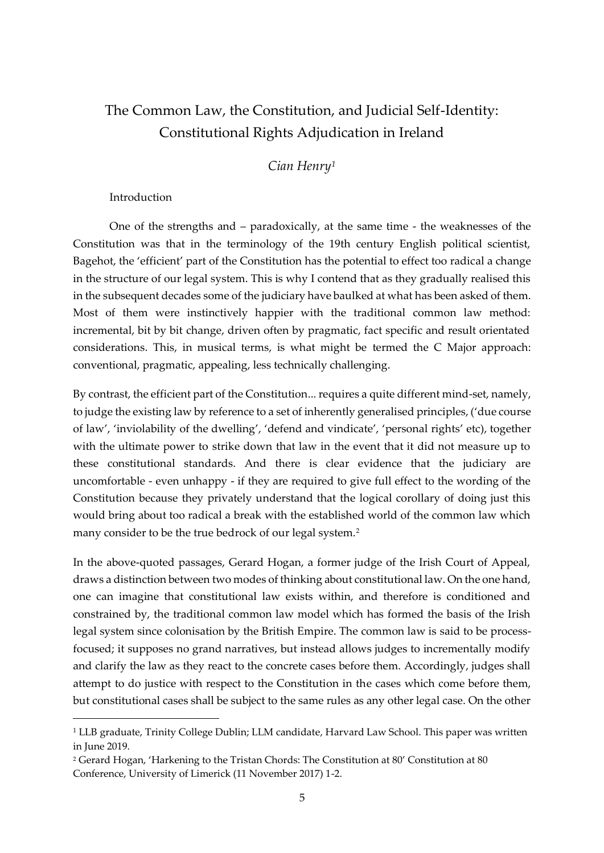## The Common Law, the Constitution, and Judicial Self-Identity: Constitutional Rights Adjudication in Ireland

*Cian Henry<sup>1</sup>*

Introduction

One of the strengths and – paradoxically, at the same time - the weaknesses of the Constitution was that in the terminology of the 19th century English political scientist, Bagehot, the 'efficient' part of the Constitution has the potential to effect too radical a change in the structure of our legal system. This is why I contend that as they gradually realised this in the subsequent decades some of the judiciary have baulked at what has been asked of them. Most of them were instinctively happier with the traditional common law method: incremental, bit by bit change, driven often by pragmatic, fact specific and result orientated considerations. This, in musical terms, is what might be termed the C Major approach: conventional, pragmatic, appealing, less technically challenging.

By contrast, the efficient part of the Constitution... requires a quite different mind-set, namely, to judge the existing law by reference to a set of inherently generalised principles, ('due course of law', 'inviolability of the dwelling', 'defend and vindicate', 'personal rights' etc), together with the ultimate power to strike down that law in the event that it did not measure up to these constitutional standards. And there is clear evidence that the judiciary are uncomfortable - even unhappy - if they are required to give full effect to the wording of the Constitution because they privately understand that the logical corollary of doing just this would bring about too radical a break with the established world of the common law which many consider to be the true bedrock of our legal system.<sup>2</sup>

In the above-quoted passages, Gerard Hogan, a former judge of the Irish Court of Appeal, draws a distinction between two modes of thinking about constitutional law. On the one hand, one can imagine that constitutional law exists within, and therefore is conditioned and constrained by, the traditional common law model which has formed the basis of the Irish legal system since colonisation by the British Empire. The common law is said to be processfocused; it supposes no grand narratives, but instead allows judges to incrementally modify and clarify the law as they react to the concrete cases before them. Accordingly, judges shall attempt to do justice with respect to the Constitution in the cases which come before them, but constitutional cases shall be subject to the same rules as any other legal case. On the other

<sup>&</sup>lt;sup>1</sup> LLB graduate, Trinity College Dublin; LLM candidate, Harvard Law School. This paper was written in June 2019.

<sup>2</sup> Gerard Hogan, 'Harkening to the Tristan Chords: The Constitution at 80' Constitution at 80 Conference, University of Limerick (11 November 2017) 1-2.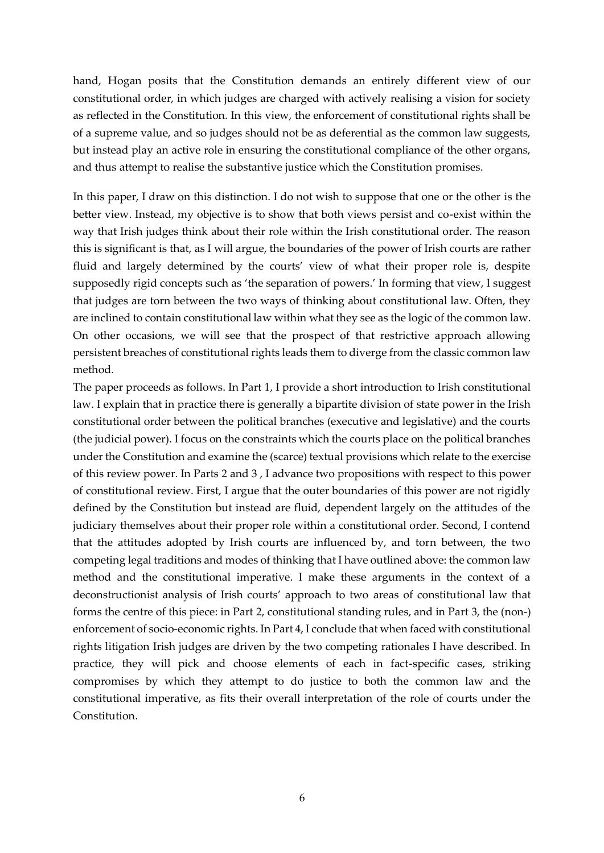hand, Hogan posits that the Constitution demands an entirely different view of our constitutional order, in which judges are charged with actively realising a vision for society as reflected in the Constitution. In this view, the enforcement of constitutional rights shall be of a supreme value, and so judges should not be as deferential as the common law suggests, but instead play an active role in ensuring the constitutional compliance of the other organs, and thus attempt to realise the substantive justice which the Constitution promises.

In this paper, I draw on this distinction. I do not wish to suppose that one or the other is the better view. Instead, my objective is to show that both views persist and co-exist within the way that Irish judges think about their role within the Irish constitutional order. The reason this is significant is that, as I will argue, the boundaries of the power of Irish courts are rather fluid and largely determined by the courts' view of what their proper role is, despite supposedly rigid concepts such as 'the separation of powers.' In forming that view, I suggest that judges are torn between the two ways of thinking about constitutional law. Often, they are inclined to contain constitutional law within what they see as the logic of the common law. On other occasions, we will see that the prospect of that restrictive approach allowing persistent breaches of constitutional rights leads them to diverge from the classic common law method.

The paper proceeds as follows. In Part 1, I provide a short introduction to Irish constitutional law. I explain that in practice there is generally a bipartite division of state power in the Irish constitutional order between the political branches (executive and legislative) and the courts (the judicial power). I focus on the constraints which the courts place on the political branches under the Constitution and examine the (scarce) textual provisions which relate to the exercise of this review power. In Parts 2 and 3 , I advance two propositions with respect to this power of constitutional review. First, I argue that the outer boundaries of this power are not rigidly defined by the Constitution but instead are fluid, dependent largely on the attitudes of the judiciary themselves about their proper role within a constitutional order. Second, I contend that the attitudes adopted by Irish courts are influenced by, and torn between, the two competing legal traditions and modes of thinking that I have outlined above: the common law method and the constitutional imperative. I make these arguments in the context of a deconstructionist analysis of Irish courts' approach to two areas of constitutional law that forms the centre of this piece: in Part 2, constitutional standing rules, and in Part 3, the (non-) enforcement of socio-economic rights. In Part 4, I conclude that when faced with constitutional rights litigation Irish judges are driven by the two competing rationales I have described. In practice, they will pick and choose elements of each in fact-specific cases, striking compromises by which they attempt to do justice to both the common law and the constitutional imperative, as fits their overall interpretation of the role of courts under the Constitution.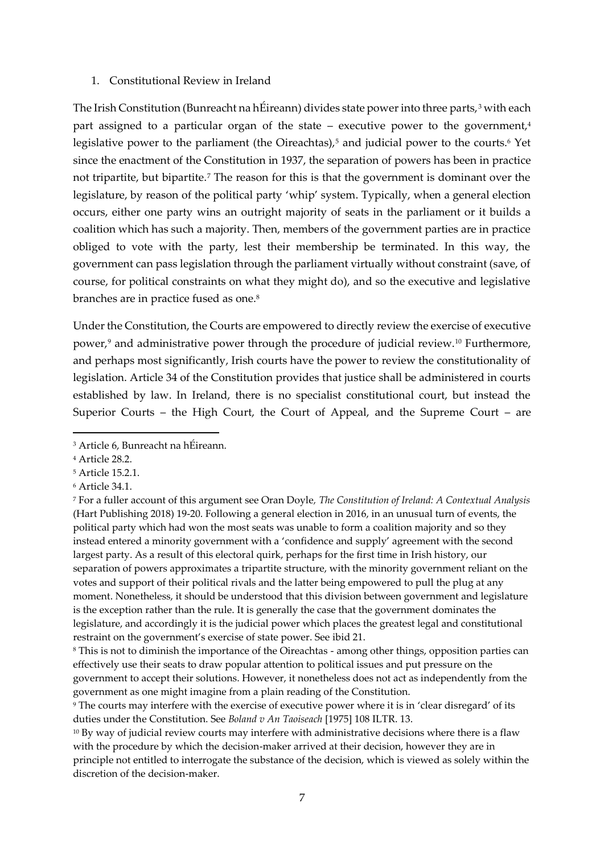## 1. Constitutional Review in Ireland

The Irish Constitution (Bunreacht na hÉireann) divides state power into three parts,<sup>3</sup> with each part assigned to a particular organ of the state – executive power to the government, $4$ legislative power to the parliament (the Oireachtas),<sup>5</sup> and judicial power to the courts.<sup>6</sup> Yet since the enactment of the Constitution in 1937, the separation of powers has been in practice not tripartite, but bipartite.<sup>7</sup> The reason for this is that the government is dominant over the legislature, by reason of the political party 'whip' system. Typically, when a general election occurs, either one party wins an outright majority of seats in the parliament or it builds a coalition which has such a majority. Then, members of the government parties are in practice obliged to vote with the party, lest their membership be terminated. In this way, the government can pass legislation through the parliament virtually without constraint (save, of course, for political constraints on what they might do), and so the executive and legislative branches are in practice fused as one.<sup>8</sup>

Under the Constitution, the Courts are empowered to directly review the exercise of executive power,<sup>9</sup> and administrative power through the procedure of judicial review.<sup>10</sup> Furthermore, and perhaps most significantly, Irish courts have the power to review the constitutionality of legislation. Article 34 of the Constitution provides that justice shall be administered in courts established by law. In Ireland, there is no specialist constitutional court, but instead the Superior Courts – the High Court, the Court of Appeal, and the Supreme Court – are

<sup>7</sup> For a fuller account of this argument see Oran Doyle*, The Constitution of Ireland: A Contextual Analysis* (Hart Publishing 2018) 19-20. Following a general election in 2016, in an unusual turn of events, the political party which had won the most seats was unable to form a coalition majority and so they instead entered a minority government with a 'confidence and supply' agreement with the second largest party. As a result of this electoral quirk, perhaps for the first time in Irish history, our separation of powers approximates a tripartite structure, with the minority government reliant on the votes and support of their political rivals and the latter being empowered to pull the plug at any moment. Nonetheless, it should be understood that this division between government and legislature is the exception rather than the rule. It is generally the case that the government dominates the legislature, and accordingly it is the judicial power which places the greatest legal and constitutional restraint on the government's exercise of state power. See ibid 21.

<sup>3</sup> Article 6, Bunreacht na hÉireann.

<sup>4</sup> Article 28.2.

<sup>5</sup> Article 15.2.1.

<sup>6</sup> Article 34.1.

<sup>8</sup> This is not to diminish the importance of the Oireachtas - among other things, opposition parties can effectively use their seats to draw popular attention to political issues and put pressure on the government to accept their solutions. However, it nonetheless does not act as independently from the government as one might imagine from a plain reading of the Constitution.

<sup>9</sup> The courts may interfere with the exercise of executive power where it is in 'clear disregard' of its duties under the Constitution. See *Boland v An Taoiseach* [1975] 108 ILTR. 13.

<sup>&</sup>lt;sup>10</sup> By way of judicial review courts may interfere with administrative decisions where there is a flaw with the procedure by which the decision-maker arrived at their decision, however they are in principle not entitled to interrogate the substance of the decision, which is viewed as solely within the discretion of the decision-maker.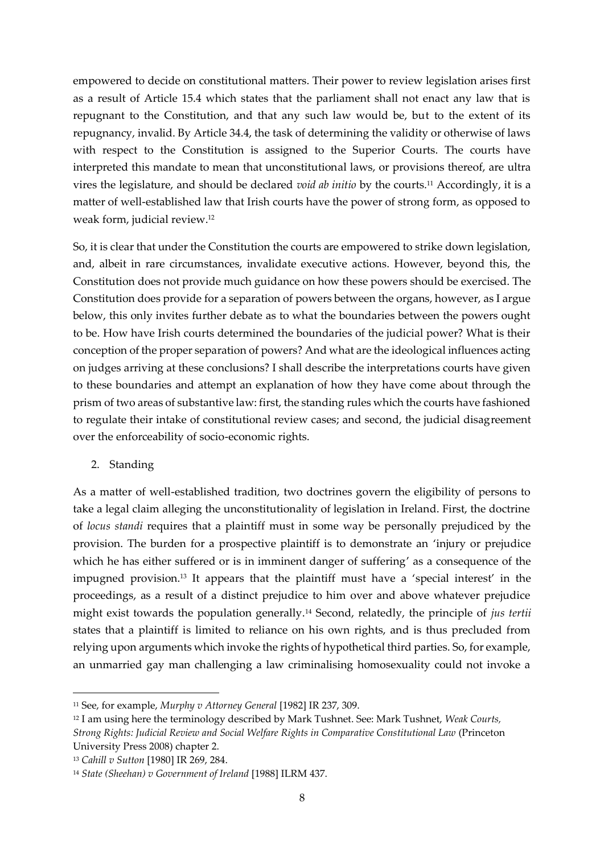empowered to decide on constitutional matters. Their power to review legislation arises first as a result of Article 15.4 which states that the parliament shall not enact any law that is repugnant to the Constitution, and that any such law would be, but to the extent of its repugnancy, invalid. By Article 34.4, the task of determining the validity or otherwise of laws with respect to the Constitution is assigned to the Superior Courts. The courts have interpreted this mandate to mean that unconstitutional laws, or provisions thereof, are ultra vires the legislature, and should be declared *void ab initio* by the courts.<sup>11</sup> Accordingly, it is a matter of well-established law that Irish courts have the power of strong form, as opposed to weak form, judicial review.<sup>12</sup>

So, it is clear that under the Constitution the courts are empowered to strike down legislation, and, albeit in rare circumstances, invalidate executive actions. However, beyond this, the Constitution does not provide much guidance on how these powers should be exercised. The Constitution does provide for a separation of powers between the organs, however, as I argue below, this only invites further debate as to what the boundaries between the powers ought to be. How have Irish courts determined the boundaries of the judicial power? What is their conception of the proper separation of powers? And what are the ideological influences acting on judges arriving at these conclusions? I shall describe the interpretations courts have given to these boundaries and attempt an explanation of how they have come about through the prism of two areas of substantive law: first, the standing rules which the courts have fashioned to regulate their intake of constitutional review cases; and second, the judicial disagreement over the enforceability of socio-economic rights.

2. Standing

As a matter of well-established tradition, two doctrines govern the eligibility of persons to take a legal claim alleging the unconstitutionality of legislation in Ireland. First, the doctrine of *locus standi* requires that a plaintiff must in some way be personally prejudiced by the provision. The burden for a prospective plaintiff is to demonstrate an 'injury or prejudice which he has either suffered or is in imminent danger of suffering' as a consequence of the impugned provision.<sup>13</sup> It appears that the plaintiff must have a 'special interest' in the proceedings, as a result of a distinct prejudice to him over and above whatever prejudice might exist towards the population generally.<sup>14</sup> Second, relatedly, the principle of *jus tertii*  states that a plaintiff is limited to reliance on his own rights, and is thus precluded from relying upon arguments which invoke the rights of hypothetical third parties. So, for example, an unmarried gay man challenging a law criminalising homosexuality could not invoke a

<sup>11</sup> See, for example, *Murphy v Attorney General* [1982] IR 237, 309.

<sup>12</sup> I am using here the terminology described by Mark Tushnet. See: Mark Tushnet, *Weak Courts, Strong Rights: Judicial Review and Social Welfare Rights in Comparative Constitutional Law* (Princeton University Press 2008) chapter 2.

<sup>13</sup> *Cahill v Sutton* [1980] IR 269, 284.

<sup>14</sup> *State (Sheehan) v Government of Ireland* [1988] ILRM 437.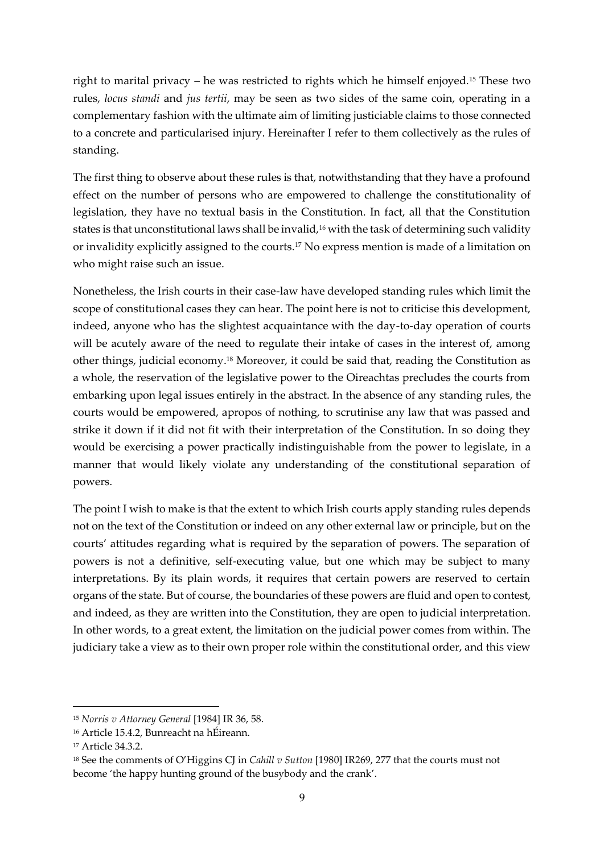right to marital privacy – he was restricted to rights which he himself enjoyed.<sup>15</sup> These two rules, *locus standi* and *jus tertii*, may be seen as two sides of the same coin, operating in a complementary fashion with the ultimate aim of limiting justiciable claims to those connected to a concrete and particularised injury. Hereinafter I refer to them collectively as the rules of standing.

The first thing to observe about these rules is that, notwithstanding that they have a profound effect on the number of persons who are empowered to challenge the constitutionality of legislation, they have no textual basis in the Constitution. In fact, all that the Constitution states is that unconstitutional laws shall be invalid,<sup>16</sup> with the task of determining such validity or invalidity explicitly assigned to the courts.<sup>17</sup> No express mention is made of a limitation on who might raise such an issue.

Nonetheless, the Irish courts in their case-law have developed standing rules which limit the scope of constitutional cases they can hear. The point here is not to criticise this development, indeed, anyone who has the slightest acquaintance with the day-to-day operation of courts will be acutely aware of the need to regulate their intake of cases in the interest of, among other things, judicial economy.<sup>18</sup> Moreover, it could be said that, reading the Constitution as a whole, the reservation of the legislative power to the Oireachtas precludes the courts from embarking upon legal issues entirely in the abstract. In the absence of any standing rules, the courts would be empowered, apropos of nothing, to scrutinise any law that was passed and strike it down if it did not fit with their interpretation of the Constitution. In so doing they would be exercising a power practically indistinguishable from the power to legislate, in a manner that would likely violate any understanding of the constitutional separation of powers.

The point I wish to make is that the extent to which Irish courts apply standing rules depends not on the text of the Constitution or indeed on any other external law or principle, but on the courts' attitudes regarding what is required by the separation of powers. The separation of powers is not a definitive, self-executing value, but one which may be subject to many interpretations. By its plain words, it requires that certain powers are reserved to certain organs of the state. But of course, the boundaries of these powers are fluid and open to contest, and indeed, as they are written into the Constitution, they are open to judicial interpretation. In other words, to a great extent, the limitation on the judicial power comes from within. The judiciary take a view as to their own proper role within the constitutional order, and this view

<sup>15</sup> *Norris v Attorney General* [1984] IR 36, 58.

<sup>16</sup> Article 15.4.2, Bunreacht na hÉireann.

<sup>17</sup> Article 34.3.2.

<sup>&</sup>lt;sup>18</sup> See the comments of O'Higgins CJ in *Cahill v Sutton* [1980] IR269, 277 that the courts must not become 'the happy hunting ground of the busybody and the crank'.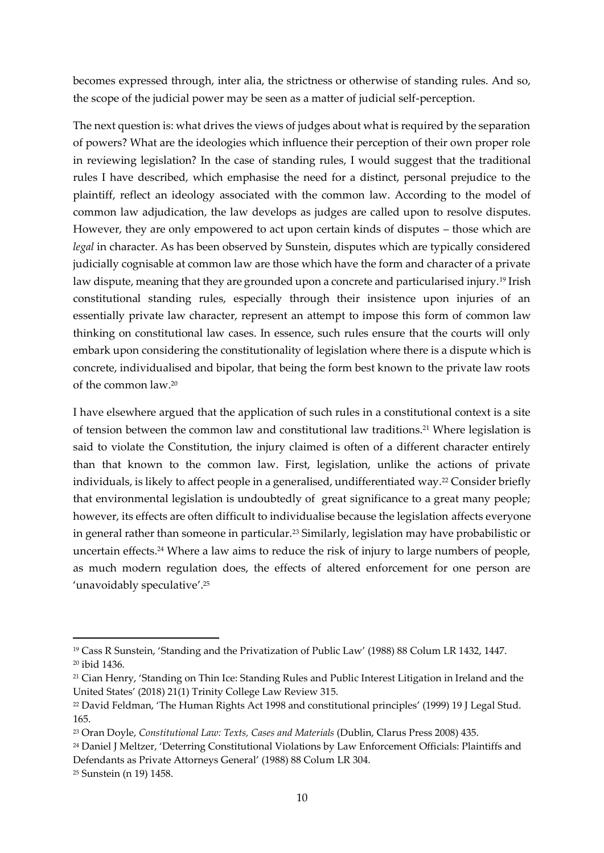becomes expressed through, inter alia, the strictness or otherwise of standing rules. And so, the scope of the judicial power may be seen as a matter of judicial self-perception.

The next question is: what drives the views of judges about what is required by the separation of powers? What are the ideologies which influence their perception of their own proper role in reviewing legislation? In the case of standing rules, I would suggest that the traditional rules I have described, which emphasise the need for a distinct, personal prejudice to the plaintiff, reflect an ideology associated with the common law. According to the model of common law adjudication, the law develops as judges are called upon to resolve disputes. However, they are only empowered to act upon certain kinds of disputes – those which are legal in character. As has been observed by Sunstein, disputes which are typically considered judicially cognisable at common law are those which have the form and character of a private law dispute, meaning that they are grounded upon a concrete and particularised injury.<sup>19</sup> Irish constitutional standing rules, especially through their insistence upon injuries of an essentially private law character, represent an attempt to impose this form of common law thinking on constitutional law cases. In essence, such rules ensure that the courts will only embark upon considering the constitutionality of legislation where there is a dispute which is concrete, individualised and bipolar, that being the form best known to the private law roots of the common law.<sup>20</sup>

I have elsewhere argued that the application of such rules in a constitutional context is a site of tension between the common law and constitutional law traditions.<sup>21</sup> Where legislation is said to violate the Constitution, the injury claimed is often of a different character entirely than that known to the common law. First, legislation, unlike the actions of private individuals, is likely to affect people in a generalised, undifferentiated way.<sup>22</sup> Consider briefly that environmental legislation is undoubtedly of great significance to a great many people; however, its effects are often difficult to individualise because the legislation affects everyone in general rather than someone in particular.<sup>23</sup> Similarly, legislation may have probabilistic or uncertain effects.<sup>24</sup> Where a law aims to reduce the risk of injury to large numbers of people, as much modern regulation does, the effects of altered enforcement for one person are 'unavoidably speculative'. 25

<sup>19</sup> Cass R Sunstein, 'Standing and the Privatization of Public Law' (1988) 88 Colum LR 1432, 1447. <sup>20</sup> ibid 1436.

<sup>21</sup> Cian Henry, 'Standing on Thin Ice: Standing Rules and Public Interest Litigation in Ireland and the United States' (2018) 21(1) Trinity College Law Review 315.

<sup>22</sup> David Feldman, 'The Human Rights Act 1998 and constitutional principles' (1999) 19 J Legal Stud. 165.

<sup>23</sup> Oran Doyle, *Constitutional Law: Texts, Cases and Materials* (Dublin, Clarus Press 2008) 435.

<sup>&</sup>lt;sup>24</sup> Daniel J Meltzer, 'Deterring Constitutional Violations by Law Enforcement Officials: Plaintiffs and Defendants as Private Attorneys General' (1988) 88 Colum LR 304.

<sup>25</sup> Sunstein (n 19) 1458.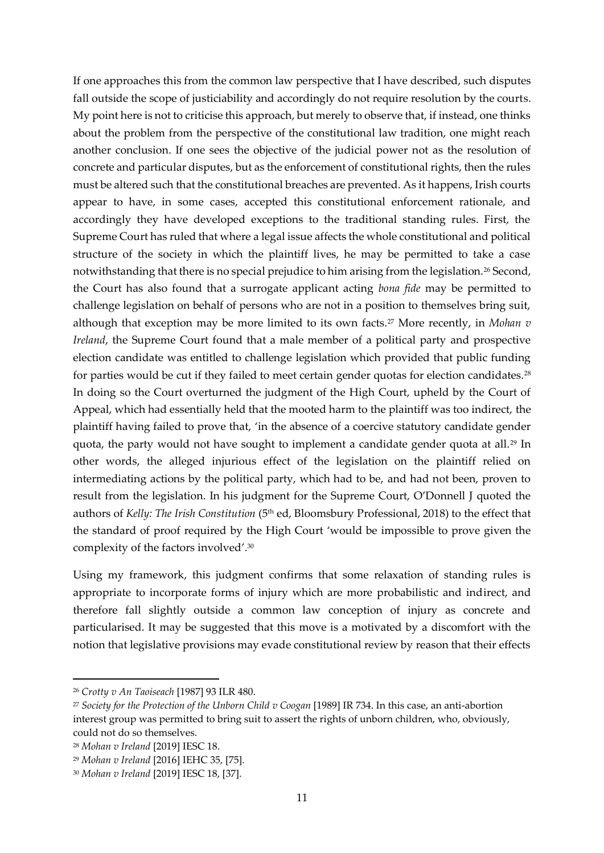If one approaches this from the common law perspective that I have described, such disputes fall outside the scope of justiciability and accordingly do not require resolution by the courts. My point here is not to criticise this approach, but merely to observe that, if instead, one thinks about the problem from the perspective of the constitutional law tradition, one might reach another conclusion. If one sees the objective of the judicial power not as the resolution of concrete and particular disputes, but as the enforcement of constitutional rights, then the rules must be altered such that the constitutional breaches are prevented. As it happens, Irish courts appear to have, in some cases, accepted this constitutional enforcement rationale, and accordingly they have developed exceptions to the traditional standing rules. First, the Supreme Court has ruled that where a legal issue affects the whole constitutional and political structure of the society in which the plaintiff lives, he may be permitted to take a case notwithstanding that there is no special prejudice to him arising from the legislation.<sup>26</sup> Second, the Court has also found that a surrogate applicant acting *bona fide* may be permitted to challenge legislation on behalf of persons who are not in a position to themselves bring suit, although that exception may be more limited to its own facts.<sup>27</sup> More recently, in *Mohan v Ireland*, the Supreme Court found that a male member of a political party and prospective election candidate was entitled to challenge legislation which provided that public funding for parties would be cut if they failed to meet certain gender quotas for election candidates.<sup>28</sup> In doing so the Court overturned the judgment of the High Court, upheld by the Court of Appeal, which had essentially held that the mooted harm to the plaintiff was too indirect, the plaintiff having failed to prove that, 'in the absence of a coercive statutory candidate gender quota, the party would not have sought to implement a candidate gender quota at all.<sup>29</sup> In other words, the alleged injurious effect of the legislation on the plaintiff relied on intermediating actions by the political party, which had to be, and had not been, proven to result from the legislation. In his judgment for the Supreme Court, O'Donnell J quoted the authors of *Kelly: The Irish Constitution* (5<sup>th</sup> ed, Bloomsbury Professional, 2018) to the effect that the standard of proof required by the High Court 'would be impossible to prove given the complexity of the factors involved'. 30

Using my framework, this judgment confirms that some relaxation of standing rules is appropriate to incorporate forms of injury which are more probabilistic and indirect, and therefore fall slightly outside a common law conception of injury as concrete and particularised. It may be suggested that this move is a motivated by a discomfort with the notion that legislative provisions may evade constitutional review by reason that their effects

<sup>26</sup> *Crotty v An Taoiseach* [1987] 93 ILR 480.

<sup>27</sup> *Society for the Protection of the Unborn Child v Coogan* [1989] IR 734. In this case, an anti-abortion interest group was permitted to bring suit to assert the rights of unborn children, who, obviously, could not do so themselves.

<sup>28</sup> *Mohan v Ireland* [2019] IESC 18.

<sup>29</sup> *Mohan v Ireland* [2016] IEHC 35, [75].

<sup>30</sup> *Mohan v Ireland* [2019] IESC 18, [37].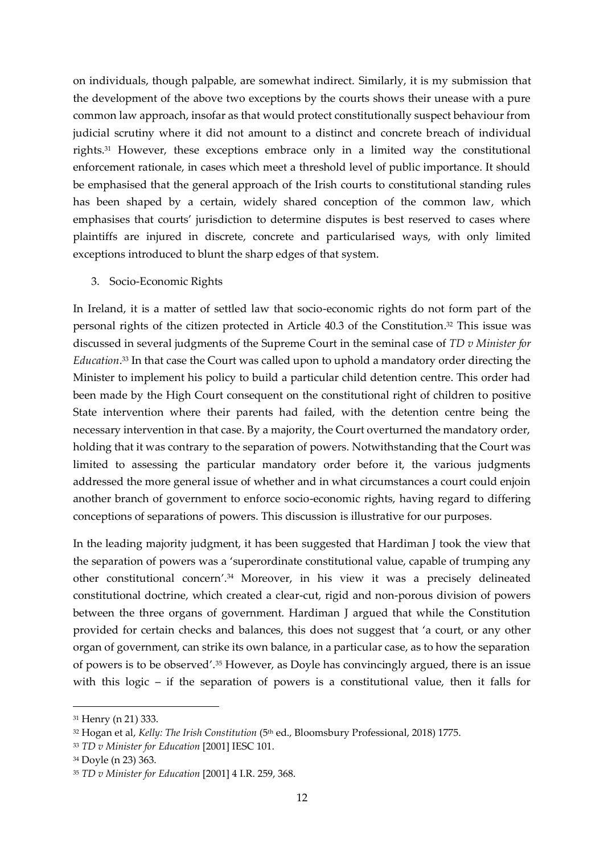on individuals, though palpable, are somewhat indirect. Similarly, it is my submission that the development of the above two exceptions by the courts shows their unease with a pure common law approach, insofar as that would protect constitutionally suspect behaviour from judicial scrutiny where it did not amount to a distinct and concrete breach of individual rights.<sup>31</sup> However, these exceptions embrace only in a limited way the constitutional enforcement rationale, in cases which meet a threshold level of public importance. It should be emphasised that the general approach of the Irish courts to constitutional standing rules has been shaped by a certain, widely shared conception of the common law, which emphasises that courts' jurisdiction to determine disputes is best reserved to cases where plaintiffs are injured in discrete, concrete and particularised ways, with only limited exceptions introduced to blunt the sharp edges of that system.

3. Socio-Economic Rights

In Ireland, it is a matter of settled law that socio-economic rights do not form part of the personal rights of the citizen protected in Article 40.3 of the Constitution. <sup>32</sup> This issue was discussed in several judgments of the Supreme Court in the seminal case of *TD v Minister for Education*. <sup>33</sup> In that case the Court was called upon to uphold a mandatory order directing the Minister to implement his policy to build a particular child detention centre. This order had been made by the High Court consequent on the constitutional right of children to positive State intervention where their parents had failed, with the detention centre being the necessary intervention in that case. By a majority, the Court overturned the mandatory order, holding that it was contrary to the separation of powers. Notwithstanding that the Court was limited to assessing the particular mandatory order before it, the various judgments addressed the more general issue of whether and in what circumstances a court could enjoin another branch of government to enforce socio-economic rights, having regard to differing conceptions of separations of powers. This discussion is illustrative for our purposes.

In the leading majority judgment, it has been suggested that Hardiman J took the view that the separation of powers was a 'superordinate constitutional value, capable of trumping any other constitutional concern'. <sup>34</sup> Moreover, in his view it was a precisely delineated constitutional doctrine, which created a clear-cut, rigid and non-porous division of powers between the three organs of government. Hardiman J argued that while the Constitution provided for certain checks and balances, this does not suggest that 'a court, or any other organ of government, can strike its own balance, in a particular case, as to how the separation of powers is to be observed'. <sup>35</sup> However, as Doyle has convincingly argued, there is an issue with this logic – if the separation of powers is a constitutional value, then it falls for

<sup>31</sup> Henry (n 21) 333.

<sup>&</sup>lt;sup>32</sup> Hogan et al, *Kelly: The Irish Constitution* (5<sup>th</sup> ed., Bloomsbury Professional, 2018) 1775.

<sup>33</sup> *TD v Minister for Education* [2001] IESC 101.

<sup>34</sup> Doyle (n 23) 363.

<sup>35</sup> *TD v Minister for Education* [2001] 4 I.R. 259, 368.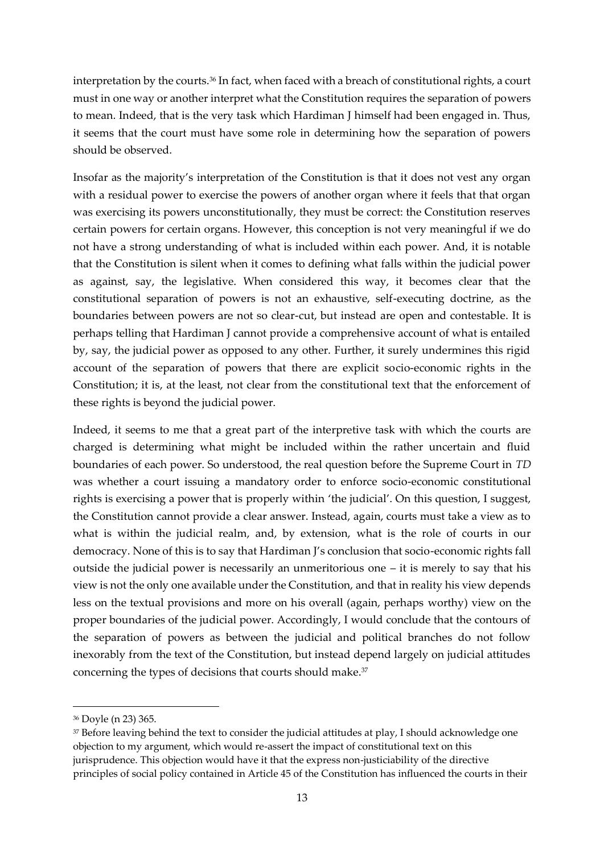interpretation by the courts.<sup>36</sup> In fact, when faced with a breach of constitutional rights, a court must in one way or another interpret what the Constitution requires the separation of powers to mean. Indeed, that is the very task which Hardiman J himself had been engaged in. Thus, it seems that the court must have some role in determining how the separation of powers should be observed.

Insofar as the majority's interpretation of the Constitution is that it does not vest any organ with a residual power to exercise the powers of another organ where it feels that that organ was exercising its powers unconstitutionally, they must be correct: the Constitution reserves certain powers for certain organs. However, this conception is not very meaningful if we do not have a strong understanding of what is included within each power. And, it is notable that the Constitution is silent when it comes to defining what falls within the judicial power as against, say, the legislative. When considered this way, it becomes clear that the constitutional separation of powers is not an exhaustive, self-executing doctrine, as the boundaries between powers are not so clear-cut, but instead are open and contestable. It is perhaps telling that Hardiman J cannot provide a comprehensive account of what is entailed by, say, the judicial power as opposed to any other. Further, it surely undermines this rigid account of the separation of powers that there are explicit socio-economic rights in the Constitution; it is, at the least, not clear from the constitutional text that the enforcement of these rights is beyond the judicial power.

Indeed, it seems to me that a great part of the interpretive task with which the courts are charged is determining what might be included within the rather uncertain and fluid boundaries of each power. So understood, the real question before the Supreme Court in *TD*  was whether a court issuing a mandatory order to enforce socio-economic constitutional rights is exercising a power that is properly within 'the judicial'. On this question, I suggest, the Constitution cannot provide a clear answer. Instead, again, courts must take a view as to what is within the judicial realm, and, by extension, what is the role of courts in our democracy. None of this is to say that Hardiman J's conclusion that socio-economic rights fall outside the judicial power is necessarily an unmeritorious one – it is merely to say that his view is not the only one available under the Constitution, and that in reality his view depends less on the textual provisions and more on his overall (again, perhaps worthy) view on the proper boundaries of the judicial power. Accordingly, I would conclude that the contours of the separation of powers as between the judicial and political branches do not follow inexorably from the text of the Constitution, but instead depend largely on judicial attitudes concerning the types of decisions that courts should make.<sup>37</sup>

<sup>36</sup> Doyle (n 23) 365.

<sup>37</sup> Before leaving behind the text to consider the judicial attitudes at play, I should acknowledge one objection to my argument, which would re-assert the impact of constitutional text on this jurisprudence. This objection would have it that the express non-justiciability of the directive principles of social policy contained in Article 45 of the Constitution has influenced the courts in their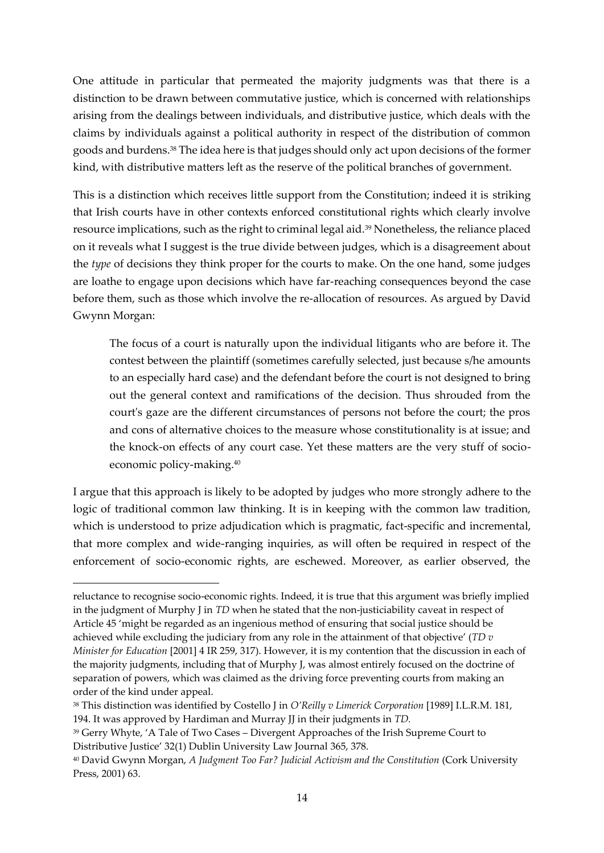One attitude in particular that permeated the majority judgments was that there is a distinction to be drawn between commutative justice, which is concerned with relationships arising from the dealings between individuals, and distributive justice, which deals with the claims by individuals against a political authority in respect of the distribution of common goods and burdens.<sup>38</sup> The idea here is that judges should only act upon decisions of the former kind, with distributive matters left as the reserve of the political branches of government.

This is a distinction which receives little support from the Constitution; indeed it is striking that Irish courts have in other contexts enforced constitutional rights which clearly involve resource implications, such as the right to criminal legal aid.<sup>39</sup> Nonetheless, the reliance placed on it reveals what I suggest is the true divide between judges, which is a disagreement about the *type* of decisions they think proper for the courts to make. On the one hand, some judges are loathe to engage upon decisions which have far-reaching consequences beyond the case before them, such as those which involve the re-allocation of resources. As argued by David Gwynn Morgan:

The focus of a court is naturally upon the individual litigants who are before it. The contest between the plaintiff (sometimes carefully selected, just because s/he amounts to an especially hard case) and the defendant before the court is not designed to bring out the general context and ramifications of the decision. Thus shrouded from the court's gaze are the different circumstances of persons not before the court; the pros and cons of alternative choices to the measure whose constitutionality is at issue; and the knock-on effects of any court case. Yet these matters are the very stuff of socioeconomic policy-making.<sup>40</sup>

I argue that this approach is likely to be adopted by judges who more strongly adhere to the logic of traditional common law thinking. It is in keeping with the common law tradition, which is understood to prize adjudication which is pragmatic, fact-specific and incremental, that more complex and wide-ranging inquiries, as will often be required in respect of the enforcement of socio-economic rights, are eschewed. Moreover, as earlier observed, the

reluctance to recognise socio-economic rights. Indeed, it is true that this argument was briefly implied in the judgment of Murphy J in *TD* when he stated that the non-justiciability caveat in respect of Article 45 'might be regarded as an ingenious method of ensuring that social justice should be achieved while excluding the judiciary from any role in the attainment of that objective' (*TD v Minister for Education* [2001] 4 IR 259, 317). However, it is my contention that the discussion in each of the majority judgments, including that of Murphy J, was almost entirely focused on the doctrine of separation of powers, which was claimed as the driving force preventing courts from making an order of the kind under appeal.

<sup>38</sup> This distinction was identified by Costello J in *O'Reilly v Limerick Corporation* [1989] I.L.R.M. 181, 194. It was approved by Hardiman and Murray JJ in their judgments in *TD.* 

<sup>39</sup> Gerry Whyte, 'A Tale of Two Cases – Divergent Approaches of the Irish Supreme Court to Distributive Justice' 32(1) Dublin University Law Journal 365, 378.

<sup>&</sup>lt;sup>40</sup> David Gwynn Morgan, *A Judgment Too Far? Judicial Activism and the Constitution (Cork University* Press, 2001) 63.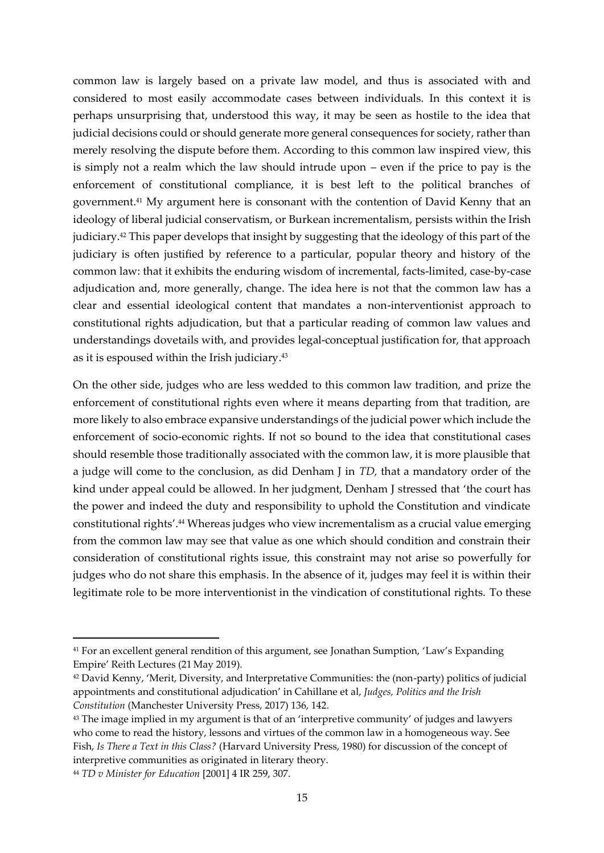common law is largely based on a private law model, and thus is associated with and considered to most easily accommodate cases between individuals. In this context it is perhaps unsurprising that, understood this way, it may be seen as hostile to the idea that judicial decisions could or should generate more general consequences for society, rather than merely resolving the dispute before them. According to this common law inspired view, this is simply not a realm which the law should intrude upon – even if the price to pay is the enforcement of constitutional compliance, it is best left to the political branches of government. <sup>41</sup> My argument here is consonant with the contention of David Kenny that an ideology of liberal judicial conservatism, or Burkean incrementalism, persists within the Irish judiciary.<sup>42</sup> This paper develops that insight by suggesting that the ideology of this part of the judiciary is often justified by reference to a particular, popular theory and history of the common law: that it exhibits the enduring wisdom of incremental, facts-limited, case-by-case adjudication and, more generally, change. The idea here is not that the common law has a clear and essential ideological content that mandates a non-interventionist approach to constitutional rights adjudication, but that a particular reading of common law values and understandings dovetails with, and provides legal-conceptual justification for, that approach as it is espoused within the Irish judiciary. 43

On the other side, judges who are less wedded to this common law tradition, and prize the enforcement of constitutional rights even where it means departing from that tradition, are more likely to also embrace expansive understandings of the judicial power which include the enforcement of socio-economic rights. If not so bound to the idea that constitutional cases should resemble those traditionally associated with the common law, it is more plausible that a judge will come to the conclusion, as did Denham J in *TD,* that a mandatory order of the kind under appeal could be allowed. In her judgment, Denham J stressed that 'the court has the power and indeed the duty and responsibility to uphold the Constitution and vindicate constitutional rights'. <sup>44</sup> Whereas judges who view incrementalism as a crucial value emerging from the common law may see that value as one which should condition and constrain their consideration of constitutional rights issue, this constraint may not arise so powerfully for judges who do not share this emphasis. In the absence of it, judges may feel it is within their legitimate role to be more interventionist in the vindication of constitutional rights. To these

<sup>41</sup> For an excellent general rendition of this argument, see Jonathan Sumption, 'Law's Expanding Empire' Reith Lectures (21May 2019).

<sup>42</sup> David Kenny, 'Merit, Diversity, and Interpretative Communities: the (non-party) politics of judicial appointments and constitutional adjudication' in Cahillane et al, *Judges, Politics and the Irish Constitution* (Manchester University Press, 2017) 136, 142.

<sup>&</sup>lt;sup>43</sup> The image implied in my argument is that of an 'interpretive community' of judges and lawyers who come to read the history, lessons and virtues of the common law in a homogeneous way. See Fish, *Is There a Text in this Class?* (Harvard University Press, 1980) for discussion of the concept of interpretive communities as originated in literary theory.

<sup>44</sup> *TD v Minister for Education* [2001] 4 IR 259, 307.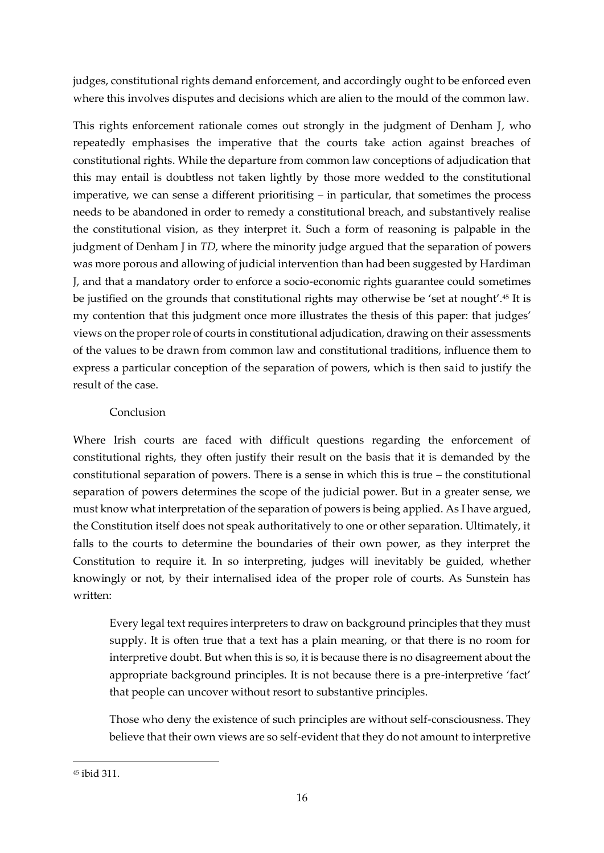judges, constitutional rights demand enforcement, and accordingly ought to be enforced even where this involves disputes and decisions which are alien to the mould of the common law.

This rights enforcement rationale comes out strongly in the judgment of Denham J, who repeatedly emphasises the imperative that the courts take action against breaches of constitutional rights. While the departure from common law conceptions of adjudication that this may entail is doubtless not taken lightly by those more wedded to the constitutional imperative, we can sense a different prioritising – in particular, that sometimes the process needs to be abandoned in order to remedy a constitutional breach, and substantively realise the constitutional vision, as they interpret it. Such a form of reasoning is palpable in the judgment of Denham J in *TD,* where the minority judge argued that the separation of powers was more porous and allowing of judicial intervention than had been suggested by Hardiman J, and that a mandatory order to enforce a socio-economic rights guarantee could sometimes be justified on the grounds that constitutional rights may otherwise be 'set at nought'. <sup>45</sup> It is my contention that this judgment once more illustrates the thesis of this paper: that judges' views on the proper role of courts in constitutional adjudication, drawing on their assessments of the values to be drawn from common law and constitutional traditions, influence them to express a particular conception of the separation of powers, which is then said to justify the result of the case.

## Conclusion

Where Irish courts are faced with difficult questions regarding the enforcement of constitutional rights, they often justify their result on the basis that it is demanded by the constitutional separation of powers. There is a sense in which this is true – the constitutional separation of powers determines the scope of the judicial power. But in a greater sense, we must know what interpretation of the separation of powers is being applied. As I have argued, the Constitution itself does not speak authoritatively to one or other separation. Ultimately, it falls to the courts to determine the boundaries of their own power, as they interpret the Constitution to require it. In so interpreting, judges will inevitably be guided, whether knowingly or not, by their internalised idea of the proper role of courts. As Sunstein has written:

Every legal text requires interpreters to draw on background principles that they must supply. It is often true that a text has a plain meaning, or that there is no room for interpretive doubt. But when this is so, it is because there is no disagreement about the appropriate background principles. It is not because there is a pre-interpretive 'fact' that people can uncover without resort to substantive principles.

Those who deny the existence of such principles are without self-consciousness. They believe that their own views are so self-evident that they do not amount to interpretive

<sup>45</sup> ibid 311.